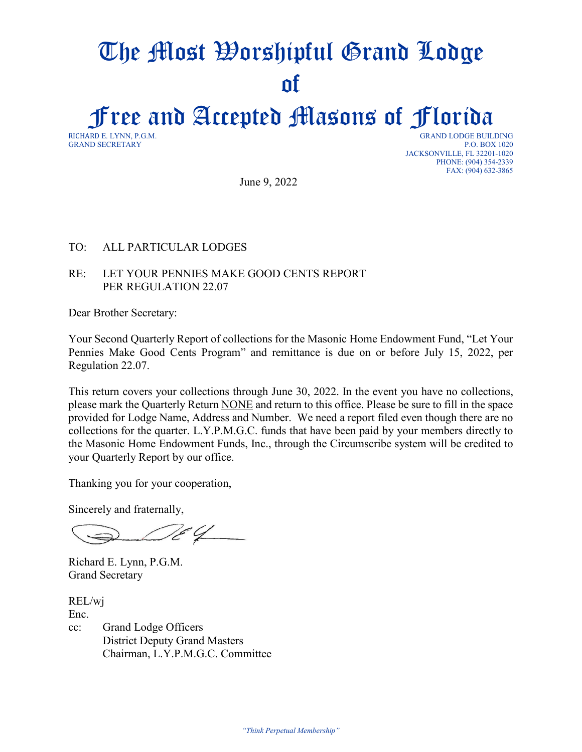# The Most Worshipful Grand Lodge of

Free and Accepted Masons of Florida

**GRAND SECRETARY** 

GRAND LODGE BUILDING<br>P.O. BOX 1020 JACKSONVILLE, FL 32201-1020 PHONE: (904) 354-2339 FAX: (904) 632-3865

June 9, 2022

#### TO: ALL PARTICULAR LODGES

#### RE: LET YOUR PENNIES MAKE GOOD CENTS REPORT PER REGULATION 22.07

Dear Brother Secretary:

Your Second Quarterly Report of collections for the Masonic Home Endowment Fund, "Let Your Pennies Make Good Cents Program" and remittance is due on or before July 15, 2022, per Regulation 22.07.

This return covers your collections through June 30, 2022. In the event you have no collections, please mark the Quarterly Return NONE and return to this office. Please be sure to fill in the space provided for Lodge Name, Address and Number. We need a report filed even though there are no collections for the quarter. L.Y.P.M.G.C. funds that have been paid by your members directly to the Masonic Home Endowment Funds, Inc., through the Circumscribe system will be credited to your Quarterly Report by our office.

Thanking you for your cooperation,

Sincerely and fraternally,

 $\epsilon q$ 

Richard E. Lynn, P.G.M. Grand Secretary

REL/wj Enc. cc: Grand Lodge Officers District Deputy Grand Masters Chairman, L.Y.P.M.G.C. Committee